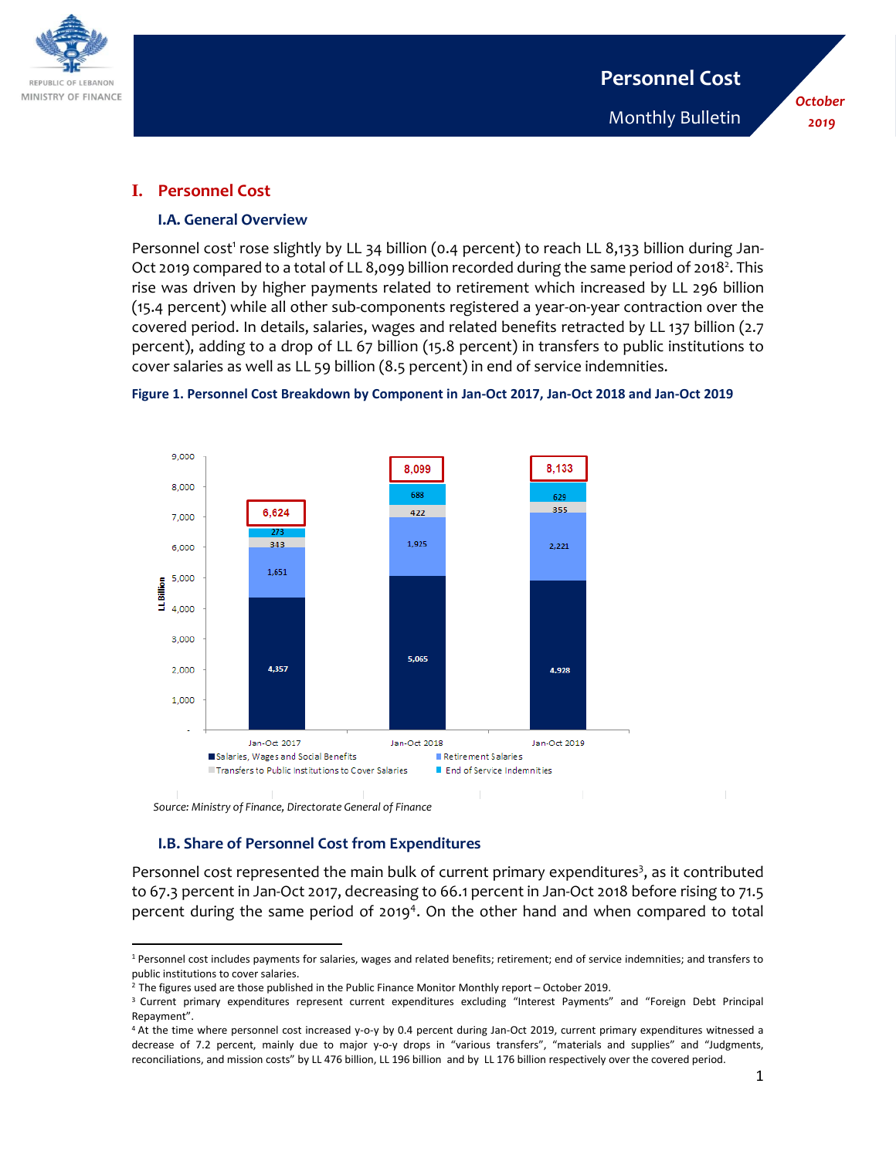

*October 2019*

# **I. Personnel Cost**

### **I.A. General Overview**

Personnel cost<sup>1</sup> rose slightly by LL 34 billion (0.4 percent) to reach LL 8,133 billion during Jan-Oct 2019 compared to a total of LL 8,099 billion recorded during the same period of 2018<sup>2</sup>. This rise was driven by higher payments related to retirement which increased by LL 296 billion (15.4 percent) while all other sub-components registered a year-on-year contraction over the covered period. In details, salaries, wages and related benefits retracted by LL 137 billion (2.7 percent), adding to a drop of LL 67 billion (15.8 percent) in transfers to public institutions to cover salaries as well as LL 59 billion (8.5 percent) in end of service indemnities.





 *Source: Ministry of Finance, Directorate General of Finance*

### **I.B. Share of Personnel Cost from Expenditures**

Personnel cost represented the main bulk of current primary expenditures<sup>3</sup>, as it contributed to 67.3 percent in Jan-Oct 2017, decreasing to 66.1 percent in Jan-Oct 2018 before rising to 71.5 percent during the same period of 2019<sup>4</sup>. On the other hand and when compared to total

 $\overline{\phantom{a}}$ <sup>1</sup> Personnel cost includes payments for salaries, wages and related benefits; retirement; end of service indemnities; and transfers to public institutions to cover salaries.

 $2$  The figures used are those published in the Public Finance Monitor Monthly report – October 2019.

<sup>&</sup>lt;sup>3</sup> Current primary expenditures represent current expenditures excluding "Interest Payments" and "Foreign Debt Principal Repayment".

<sup>4</sup> At the time where personnel cost increased y-o-y by 0.4 percent during Jan-Oct 2019, current primary expenditures witnessed a decrease of 7.2 percent, mainly due to major y-o-y drops in "various transfers", "materials and supplies" and "Judgments, reconciliations, and mission costs" by LL 476 billion, LL 196 billion and by LL 176 billion respectively over the covered period.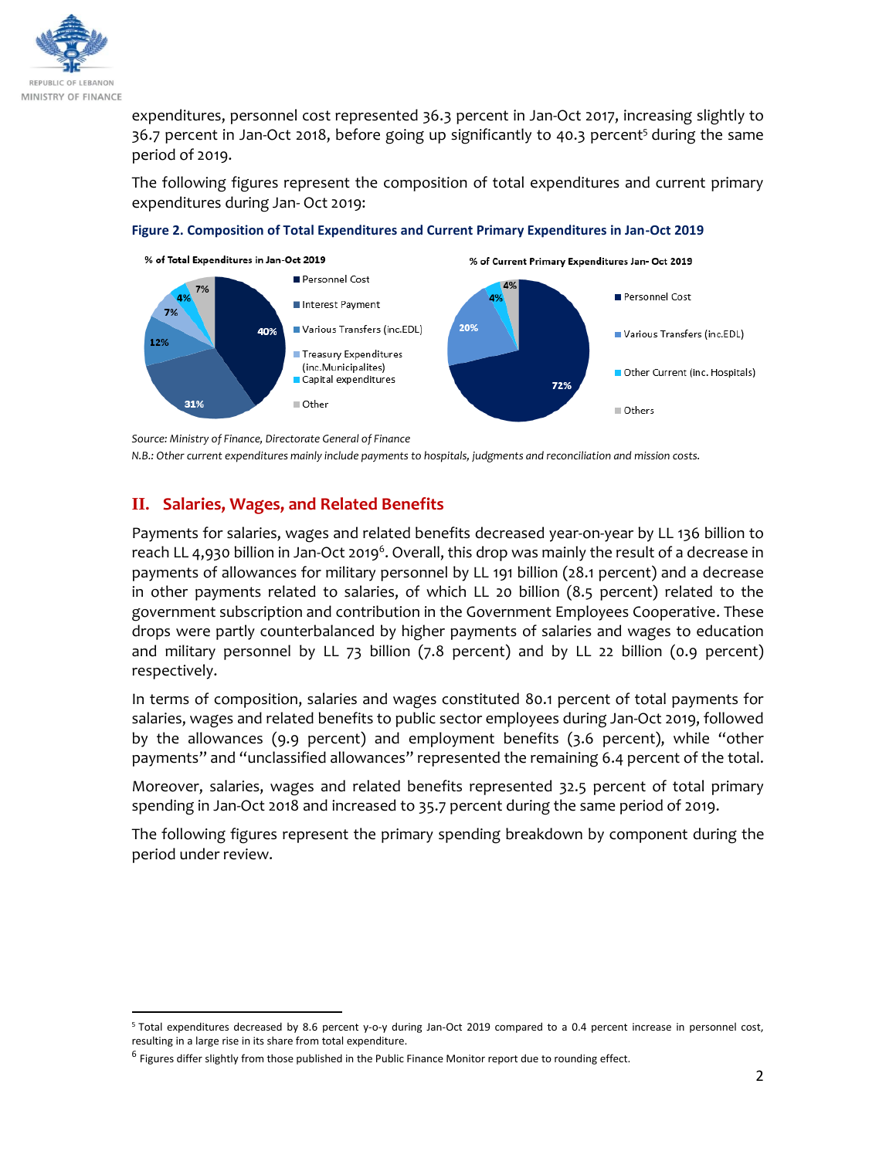

 $\overline{\phantom{a}}$ 

expenditures, personnel cost represented 36.3 percent in Jan-Oct 2017, increasing slightly to 36.7 percent in Jan-Oct 2018, before going up significantly to 40.3 percent<sup>5</sup> during the same period of 2019.

The following figures represent the composition of total expenditures and current primary expenditures during Jan- Oct 2019:



**Figure 2. Composition of Total Expenditures and Current Primary Expenditures in Jan-Oct 2019**

# **II. Salaries, Wages, and Related Benefits**

Payments for salaries, wages and related benefits decreased year-on-year by LL 136 billion to reach LL 4,930 billion in Jan-Oct 2019 $^6$ . Overall, this drop was mainly the result of a decrease in payments of allowances for military personnel by LL 191 billion (28.1 percent) and a decrease in other payments related to salaries, of which LL 20 billion (8.5 percent) related to the government subscription and contribution in the Government Employees Cooperative. These drops were partly counterbalanced by higher payments of salaries and wages to education and military personnel by LL 73 billion (7.8 percent) and by LL 22 billion (0.9 percent) respectively.

In terms of composition, salaries and wages constituted 80.1 percent of total payments for salaries, wages and related benefits to public sector employees during Jan-Oct 2019, followed by the allowances (9.9 percent) and employment benefits (3.6 percent), while "other payments" and "unclassified allowances" represented the remaining 6.4 percent of the total.

Moreover, salaries, wages and related benefits represented 32.5 percent of total primary spending in Jan-Oct 2018 and increased to 35.7 percent during the same period of 2019.

The following figures represent the primary spending breakdown by component during the period under review.

*Source: Ministry of Finance, Directorate General of Finance N.B.: Other current expenditures mainly include payments to hospitals, judgments and reconciliation and mission costs.* 

<sup>5</sup> Total expenditures decreased by 8.6 percent y-o-y during Jan-Oct 2019 compared to a 0.4 percent increase in personnel cost, resulting in a large rise in its share from total expenditure.

<sup>&</sup>lt;sup>6</sup> Figures differ slightly from those published in the Public Finance Monitor report due to rounding effect.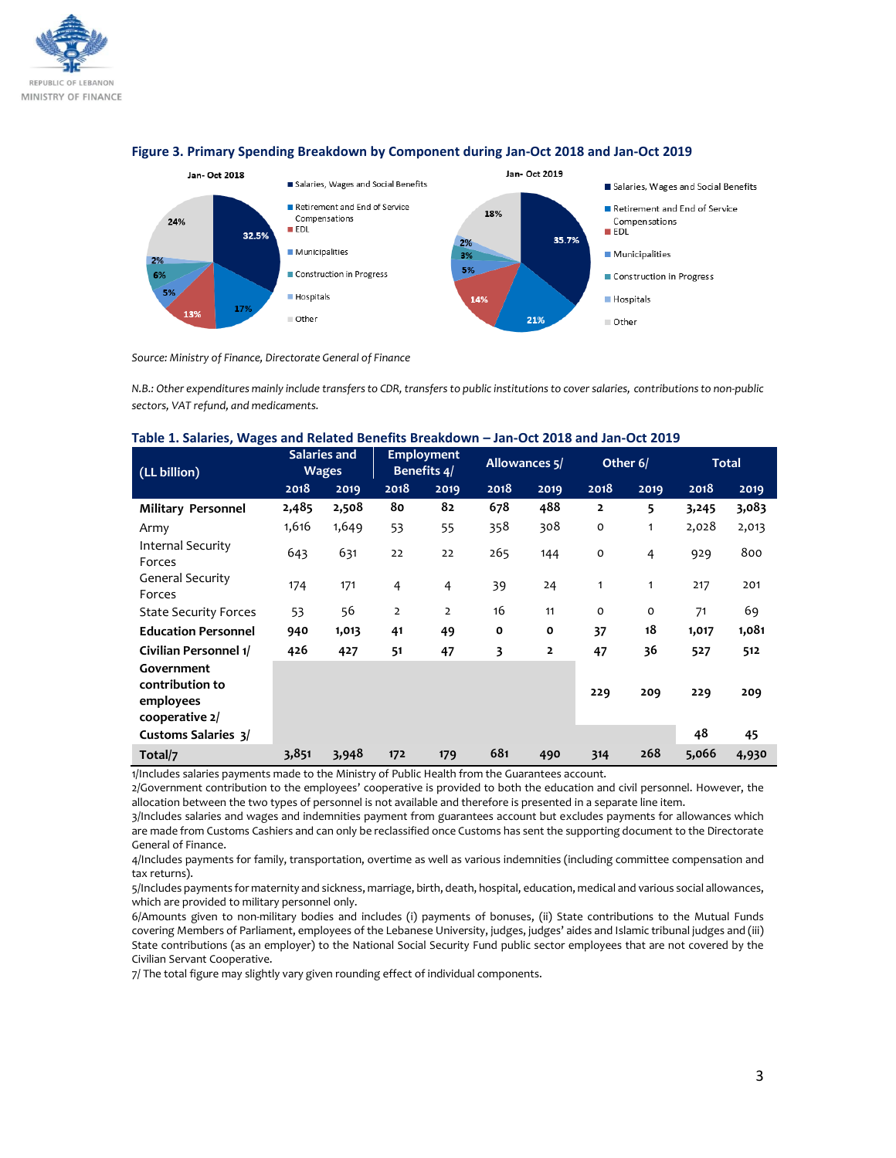



#### **Figure 3. Primary Spending Breakdown by Component during Jan-Oct 2018 and Jan-Oct 2019**

*Source: Ministry of Finance, Directorate General of Finance* 

*N.B.: Other expenditures mainly include transfers to CDR, transfers to public institutions to cover salaries, contributions to non-public sectors, VAT refund, and medicaments.*

#### **Table 1. Salaries, Wages and Related Benefits Breakdown – Jan-Oct 2018 and Jan-Oct 2019**

| (LL billion)                                                 |       | <b>Salaries and</b><br><b>Wages</b> |                | <b>Employment</b><br>Benefits 4/ | Allowances 5/ |              | Other 6/       |              | <b>Total</b> |       |
|--------------------------------------------------------------|-------|-------------------------------------|----------------|----------------------------------|---------------|--------------|----------------|--------------|--------------|-------|
|                                                              | 2018  | 2019                                | 2018           | 2019                             | 2018          | 2019         | 2018           | 2019         | 2018         | 2019  |
| <b>Military Personnel</b>                                    | 2,485 | 2,508                               | 80             | 82                               | 678           | 488          | $\overline{2}$ | 5            | 3,245        | 3,083 |
| Army                                                         | 1,616 | 1,649                               | 53             | 55                               | 358           | 308          | o              | 1            | 2,028        | 2,013 |
| <b>Internal Security</b><br>Forces                           | 643   | 631                                 | 22             | 22                               | 265           | 144          | o              | 4            | 929          | 800   |
| <b>General Security</b><br>Forces                            | 174   | 171                                 | $\overline{4}$ | $\overline{4}$                   | 39            | 24           | 1              | $\mathbf{1}$ | 217          | 201   |
| <b>State Security Forces</b>                                 | 53    | 56                                  | $\overline{2}$ | $\overline{2}$                   | 16            | 11           | $\mathbf 0$    | $\mathbf 0$  | 71           | 69    |
| <b>Education Personnel</b>                                   | 940   | 1,013                               | 41             | 49                               | $\mathbf{o}$  | $\mathbf{o}$ | 37             | 18           | 1,017        | 1,081 |
| Civilian Personnel 1/                                        | 426   | 427                                 | 51             | 47                               | 3             | 2            | 47             | 36           | 527          | 512   |
| Government<br>contribution to<br>employees<br>cooperative 2/ |       |                                     |                |                                  |               |              | 229            | 209          | 229          | 209   |
| <b>Customs Salaries 3/</b>                                   |       |                                     |                |                                  |               |              |                |              | 48           | 45    |
| Total/7                                                      | 3,851 | 3,948                               | 172            | 179                              | 681           | 490          | 314            | 268          | 5,066        | 4,930 |

1/Includes salaries payments made to the Ministry of Public Health from the Guarantees account.

2/Government contribution to the employees' cooperative is provided to both the education and civil personnel. However, the allocation between the two types of personnel is not available and therefore is presented in a separate line item.

3/Includes salaries and wages and indemnities payment from guarantees account but excludes payments for allowances which are made from Customs Cashiers and can only be reclassified once Customs has sent the supporting document to the Directorate General of Finance.

4/Includes payments for family, transportation, overtime as well as various indemnities (including committee compensation and tax returns).

5/Includes payments for maternity and sickness, marriage, birth, death, hospital, education, medical and various social allowances, which are provided to military personnel only.

6/Amounts given to non-military bodies and includes (i) payments of bonuses, (ii) State contributions to the Mutual Funds covering Members of Parliament, employees of the Lebanese University, judges, judges' aides and Islamic tribunal judges and (iii) State contributions (as an employer) to the National Social Security Fund public sector employees that are not covered by the Civilian Servant Cooperative.

7/ The total figure may slightly vary given rounding effect of individual components.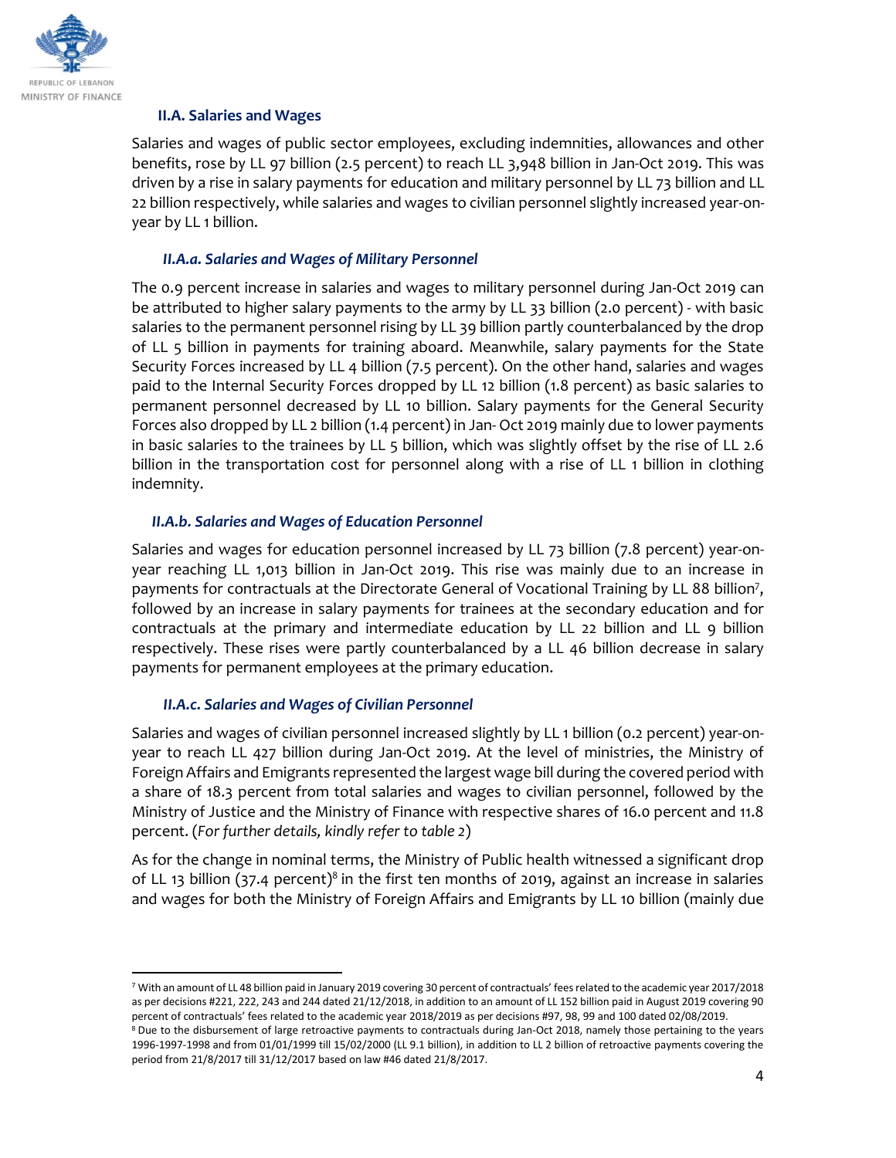

#### **II.A. Salaries and Wages**

Salaries and wages of public sector employees, excluding indemnities, allowances and other benefits, rose by LL 97 billion (2.5 percent) to reach LL 3,948 billion in Jan-Oct 2019. This was driven by a rise in salary payments for education and military personnel by LL 73 billion and LL 22 billion respectively, while salaries and wages to civilian personnel slightly increased year-onyear by LL 1 billion.

#### *II.A.a. Salaries and Wages of Military Personnel*

The 0.9 percent increase in salaries and wages to military personnel during Jan-Oct 2019 can be attributed to higher salary payments to the army by LL 33 billion (2.0 percent) - with basic salaries to the permanent personnel rising by LL 39 billion partly counterbalanced by the drop of LL 5 billion in payments for training aboard. Meanwhile, salary payments for the State Security Forces increased by LL 4 billion (7.5 percent). On the other hand, salaries and wages paid to the Internal Security Forces dropped by LL 12 billion (1.8 percent) as basic salaries to permanent personnel decreased by LL 10 billion. Salary payments for the General Security Forces also dropped by LL 2 billion (1.4 percent) in Jan- Oct 2019 mainly due to lower payments in basic salaries to the trainees by LL 5 billion, which was slightly offset by the rise of LL 2.6 billion in the transportation cost for personnel along with a rise of LL 1 billion in clothing indemnity.

#### *II.A.b. Salaries and Wages of Education Personnel*

Salaries and wages for education personnel increased by LL 73 billion (7.8 percent) year-onyear reaching LL 1,013 billion in Jan-Oct 2019. This rise was mainly due to an increase in payments for contractuals at the Directorate General of Vocational Training by LL 88 billion<sup>7</sup>, followed by an increase in salary payments for trainees at the secondary education and for contractuals at the primary and intermediate education by LL 22 billion and LL 9 billion respectively. These rises were partly counterbalanced by a LL 46 billion decrease in salary payments for permanent employees at the primary education.

### *II.A.c. Salaries and Wages of Civilian Personnel*

 $\overline{\phantom{a}}$ 

Salaries and wages of civilian personnel increased slightly by LL 1 billion (0.2 percent) year-onyear to reach LL 427 billion during Jan-Oct 2019. At the level of ministries, the Ministry of Foreign Affairs and Emigrants represented the largest wage bill during the covered period with a share of 18.3 percent from total salaries and wages to civilian personnel, followed by the Ministry of Justice and the Ministry of Finance with respective shares of 16.0 percent and 11.8 percent. (*For further details, kindly refer to table 2*)

As for the change in nominal terms, the Ministry of Public health witnessed a significant drop of LL 13 billion (37.4 percent)<sup>8</sup> in the first ten months of 2019, against an increase in salaries and wages for both the Ministry of Foreign Affairs and Emigrants by LL 10 billion (mainly due

<sup>&</sup>lt;sup>7</sup> With an amount of LL 48 billion paid in January 2019 covering 30 percent of contractuals' fees related to the academic year 2017/2018 as per decisions #221, 222, 243 and 244 dated 21/12/2018, in addition to an amount of LL 152 billion paid in August 2019 covering 90 percent of contractuals' fees related to the academic year 2018/2019 as per decisions #97, 98, 99 and 100 dated 02/08/2019.

<sup>&</sup>lt;sup>8</sup> Due to the disbursement of large retroactive payments to contractuals during Jan-Oct 2018, namely those pertaining to the years 1996-1997-1998 and from 01/01/1999 till 15/02/2000 (LL 9.1 billion), in addition to LL 2 billion of retroactive payments covering the period from 21/8/2017 till 31/12/2017 based on law #46 dated 21/8/2017.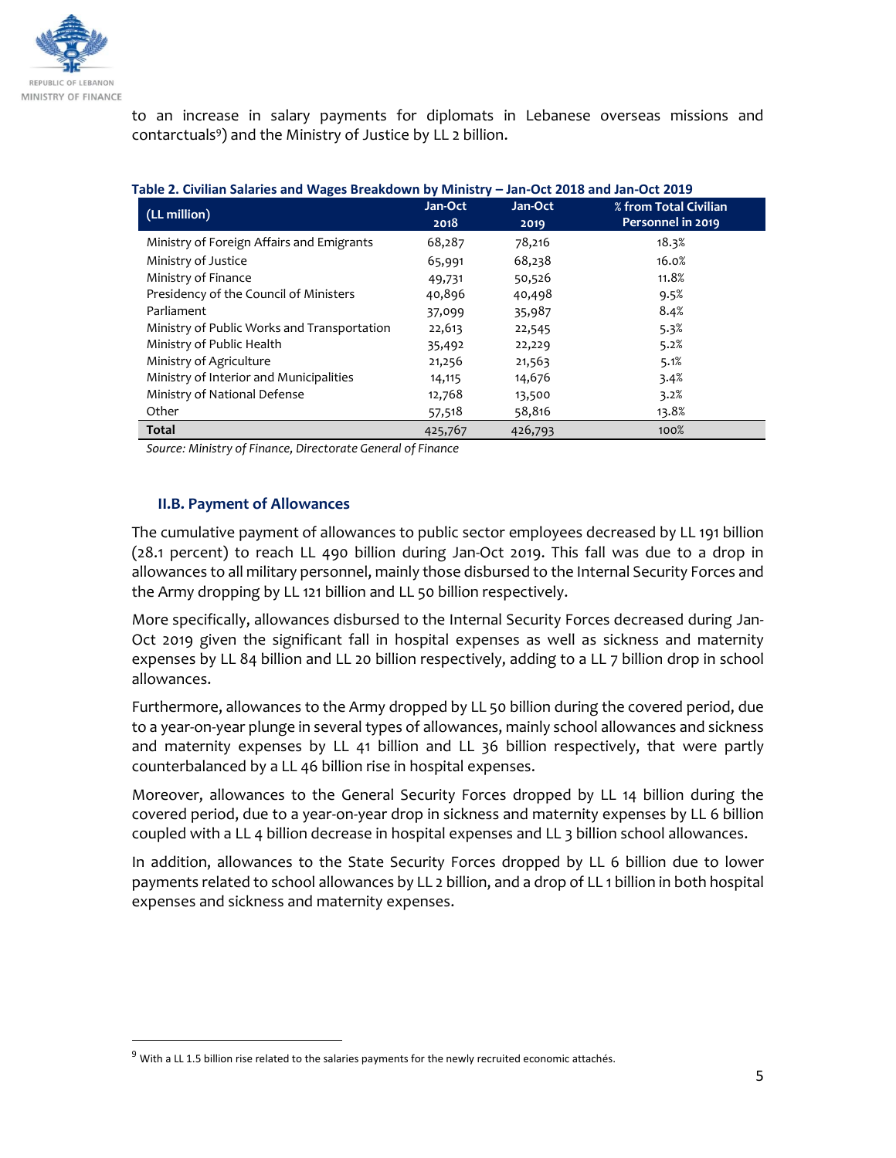

to an increase in salary payments for diplomats in Lebanese overseas missions and contarctuals<sup>9</sup>) and the Ministry of Justice by LL 2 billion.

| (LL million)                                | Jan-Oct<br>2018 | Jan-Oct<br>2019 | % from Total Civilian<br>Personnel in 2019 |
|---------------------------------------------|-----------------|-----------------|--------------------------------------------|
| Ministry of Foreign Affairs and Emigrants   | 68,287          | 78,216          | 18.3%                                      |
| Ministry of Justice                         | 65,991          | 68,238          | 16.0%                                      |
| Ministry of Finance                         | 49,731          | 50,526          | 11.8%                                      |
| Presidency of the Council of Ministers      | 40,896          | 40,498          | 9.5%                                       |
| Parliament                                  | 37,099          | 35,987          | 8.4%                                       |
| Ministry of Public Works and Transportation | 22,613          | 22,545          | 5.3%                                       |
| Ministry of Public Health                   | 35,492          | 22,229          | 5.2%                                       |
| Ministry of Agriculture                     | 21,256          | 21,563          | 5.1%                                       |
| Ministry of Interior and Municipalities     | 14,115          | 14,676          | 3.4%                                       |
| Ministry of National Defense                | 12,768          | 13,500          | 3.2%                                       |
| Other                                       | 57,518          | 58,816          | 13.8%                                      |
| <b>Total</b>                                | 425,767         | 426,793         | 100%                                       |

#### **Table 2. Civilian Salaries and Wages Breakdown by Ministry – Jan-Oct 2018 and Jan-Oct 2019**

*Source: Ministry of Finance, Directorate General of Finance* 

# **II.B. Payment of Allowances**

l

The cumulative payment of allowances to public sector employees decreased by LL 191 billion (28.1 percent) to reach LL 490 billion during Jan-Oct 2019. This fall was due to a drop in allowances to all military personnel, mainly those disbursed to the Internal Security Forces and the Army dropping by LL 121 billion and LL 50 billion respectively.

More specifically, allowances disbursed to the Internal Security Forces decreased during Jan-Oct 2019 given the significant fall in hospital expenses as well as sickness and maternity expenses by LL 84 billion and LL 20 billion respectively, adding to a LL 7 billion drop in school allowances.

Furthermore, allowances to the Army dropped by LL 50 billion during the covered period, due to a year-on-year plunge in several types of allowances, mainly school allowances and sickness and maternity expenses by LL 41 billion and LL 36 billion respectively, that were partly counterbalanced by a LL 46 billion rise in hospital expenses.

Moreover, allowances to the General Security Forces dropped by LL 14 billion during the covered period, due to a year-on-year drop in sickness and maternity expenses by LL 6 billion coupled with a LL 4 billion decrease in hospital expenses and LL 3 billion school allowances.

In addition, allowances to the State Security Forces dropped by LL 6 billion due to lower payments related to school allowances by LL 2 billion, and a drop of LL 1 billion in both hospital expenses and sickness and maternity expenses.

 $9$  With a LL 1.5 billion rise related to the salaries payments for the newly recruited economic attachés.